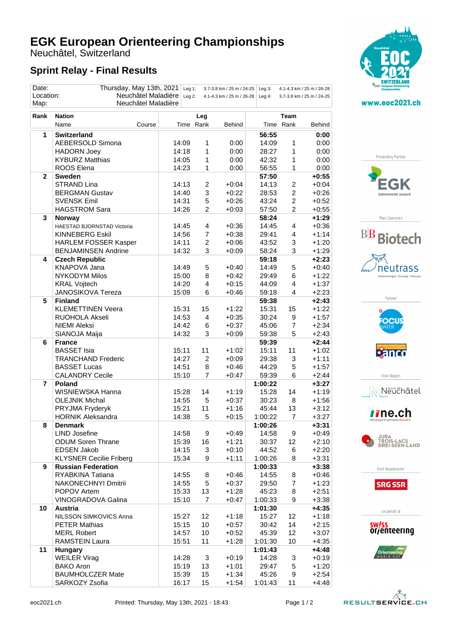## **EGK European Orienteering Championships**

Neuchâtel, Switzerland

## **Sprint Relay - Final Results**

| Date:<br>Location:                                                                                              | Thursday, May 13th, 2021<br>Neuchâtel Maladière |     | Leg $1$ : |                | 3.7-3.8 km / 25 m / 24-25 | Leg $3$ :        |                         | 4.1-4.3 km / 25 m / 26-28 |  |
|-----------------------------------------------------------------------------------------------------------------|-------------------------------------------------|-----|-----------|----------------|---------------------------|------------------|-------------------------|---------------------------|--|
| Leg $2$ :<br>4.1-4.3 km / 25 m / 26-28<br>Leg $4$ :<br>3.7-3.8 km / 25 m / 24-25<br>Neuchâtel Maladière<br>Map: |                                                 |     |           |                |                           |                  |                         |                           |  |
| Rank                                                                                                            | <b>Nation</b>                                   | Leg |           |                |                           | Team             |                         |                           |  |
|                                                                                                                 | Name<br>Course                                  |     |           | Time Rank      | Behind                    |                  | Time Rank               | Behind                    |  |
| 1                                                                                                               | <b>Switzerland</b>                              |     |           |                |                           | 56:55            |                         | 0:00                      |  |
|                                                                                                                 | AEBERSOLD Simona                                |     | 14:09     | 1              | 0:00                      | 14:09            | 1                       | 0:00                      |  |
|                                                                                                                 | <b>HADORN Joey</b>                              |     | 14:18     | 1              | 0:00                      | 28:27            | 1                       | 0:00                      |  |
|                                                                                                                 | <b>KYBURZ Matthias</b>                          |     | 14:05     | 1              | 0:00                      | 42:32            | 1                       | 0:00                      |  |
|                                                                                                                 | ROOS Elena                                      |     | 14:23     | 1              | 0:00                      | 56:55            | 1                       | 0:00                      |  |
| $\mathbf{2}$                                                                                                    | <b>Sweden</b>                                   |     |           |                |                           | 57:50            |                         | $+0:55$                   |  |
|                                                                                                                 | <b>STRAND Lina</b>                              |     | 14:13     | $\overline{c}$ | $+0:04$                   | 14:13            | $\overline{\mathbf{c}}$ | $+0:04$                   |  |
|                                                                                                                 | <b>BERGMAN Gustav</b>                           |     | 14:40     | 3              | $+0:22$                   | 28:53            | $\overline{2}$          | $+0:26$                   |  |
|                                                                                                                 | <b>SVENSK Emil</b>                              |     | 14:31     | 5              | $+0:26$                   | 43:24            | $\overline{\mathbf{c}}$ | $+0:52$                   |  |
|                                                                                                                 | <b>HAGSTROM Sara</b>                            |     | 14:26     | $\overline{c}$ | $+0:03$                   | 57:50            | $\overline{2}$          | $+0:55$                   |  |
| 3                                                                                                               | <b>Norway</b>                                   |     |           |                |                           | 58:24            |                         | $+1:29$                   |  |
|                                                                                                                 | HAESTAD BJORNSTAD Victoria                      |     | 14:45     | 4              | $+0:36$                   | 14:45            | 4                       | $+0:36$                   |  |
|                                                                                                                 | <b>KINNEBERG Eskil</b>                          |     | 14:56     | $\overline{7}$ | $+0:38$                   | 29:41            | 4                       | $+1:14$                   |  |
|                                                                                                                 | <b>HARLEM FOSSER Kasper</b>                     |     | 14:11     | $\overline{c}$ | $+0:06$                   | 43:52            | 3                       | $+1:20$                   |  |
|                                                                                                                 | <b>BENJAMINSEN Andrine</b>                      |     | 14:32     | 3              | $+0:09$                   | 58:24            | 3                       | $+1:29$                   |  |
| 4                                                                                                               | <b>Czech Republic</b>                           |     |           |                |                           | 59:18            |                         | $+2:23$                   |  |
|                                                                                                                 | <b>KNAPOVA Jana</b>                             |     | 14:49     | 5              | $+0:40$                   | 14:49            | 5                       | $+0:40$                   |  |
|                                                                                                                 | <b>NYKODYM Milos</b>                            |     | 15:00     | 8              | $+0:42$                   | 29:49            | 6                       | $+1:22$                   |  |
|                                                                                                                 | <b>KRAL Vojtech</b>                             |     | 14:20     | $\overline{4}$ | $+0:15$                   | 44:09            | 4                       | $+1:37$                   |  |
|                                                                                                                 | <b>JANOSIKOVA Tereza</b>                        |     | 15:09     | 6              | $+0:46$                   | 59:18            | 4                       | $+2:23$                   |  |
| 5                                                                                                               | <b>Finland</b>                                  |     |           |                |                           | 59:38            |                         | $+2:43$                   |  |
|                                                                                                                 | <b>KLEMETTINEN Veera</b>                        |     | 15:31     | 15             | $+1:22$                   | 15:31            | 15                      | $+1:22$                   |  |
|                                                                                                                 | RUOHOLA Akseli                                  |     | 14:53     | $\overline{4}$ | $+0:35$                   | 30:24            | 9                       | $+1:57$                   |  |
|                                                                                                                 | <b>NIEMI Aleksi</b>                             |     | 14:42     | 6              | $+0:37$                   | 45:06            | $\overline{7}$          | $+2:34$                   |  |
|                                                                                                                 | SIANOJA Maija                                   |     | 14:32     | 3              | $+0:09$                   | 59:38            | 5                       | $+2:43$                   |  |
| 6                                                                                                               | <b>France</b>                                   |     |           |                |                           | 59:39            |                         | $+2:44$                   |  |
|                                                                                                                 | <b>BASSET Isia</b>                              |     | 15:11     | 11             | $+1:02$                   | 15:11            | 11                      | $+1:02$                   |  |
|                                                                                                                 | <b>TRANCHAND Frederic</b>                       |     | 14:27     | $\overline{2}$ | $+0:09$                   | 29:38            | 3                       | $+1:11$                   |  |
|                                                                                                                 | <b>BASSET Lucas</b>                             |     | 14:51     | 8              | $+0:46$                   | 44:29            | 5                       | $+1:57$                   |  |
|                                                                                                                 | <b>CALANDRY Cecile</b>                          |     | 15:10     | $\overline{7}$ | $+0:47$                   | 59:39            | 6                       | $+2:44$                   |  |
| 7                                                                                                               | <b>Poland</b>                                   |     |           |                |                           | 1:00:22          |                         | $+3:27$                   |  |
|                                                                                                                 | WISNIEWSKA Hanna                                |     | 15:28     | 14             | $+1:19$                   | 15:28            | 14                      | $+1:19$                   |  |
|                                                                                                                 | <b>OLEJNIK Michal</b>                           |     | 14:55     | 5              | $+0:37$                   | 30:23            | 8                       | $+1:56$                   |  |
|                                                                                                                 | PRYJMA Fryderyk                                 |     | 15:21     | 11             | $+1:16$                   | 45:44            | 13                      | $+3:12$                   |  |
|                                                                                                                 | <b>HORNIK Aleksandra</b>                        |     | 14:38     | 5              | $+0:15$                   | 1:00:22          | $\overline{7}$          | $+3:27$                   |  |
| 8                                                                                                               | <b>Denmark</b>                                  |     |           |                |                           | 1:00:26          |                         | $+3:31$                   |  |
|                                                                                                                 | <b>LIND Josefine</b>                            |     | 14:58     | 9              | $+0:49$                   | 14:58            | 9                       | $+0:49$                   |  |
|                                                                                                                 | <b>ODUM Soren Thrane</b>                        |     | 15:39     | 16             | $+1:21$                   | 30:37            | 12 <sup>°</sup>         | $+2:10$                   |  |
|                                                                                                                 | <b>EDSEN Jakob</b>                              |     | 14:15     | 3              | $+0:10$                   | 44:52            | 6                       | $+2:20$                   |  |
|                                                                                                                 | <b>KLYSNER Cecilie Friberg</b>                  |     | 15:34     | 9              | $+1:11$                   | 1:00:26          | 8                       | $+3:31$                   |  |
| 9                                                                                                               | <b>Russian Federation</b>                       |     |           |                |                           | 1:00:33          |                         | $+3:38$                   |  |
|                                                                                                                 | RYABKINA Tatiana                                |     | 14:55     | 8              | $+0:46$                   | 14:55            | 8                       | $+0:46$                   |  |
|                                                                                                                 | NAKONECHNYI Dmitrii                             |     | 14:55     | 5              | $+0:37$                   | 29:50            | $\overline{7}$          | $+1:23$                   |  |
|                                                                                                                 | POPOV Artem                                     |     | 15:33     | 13             | $+1:28$                   | 45:23            | 8                       | $+2:51$                   |  |
|                                                                                                                 | VINOGRADOVA Galina                              |     | 15:10     | $\overline{7}$ | $+0:47$                   | 1:00:33          | 9                       | $+3:38$                   |  |
| 10                                                                                                              | <b>Austria</b>                                  |     |           |                |                           | 1:01:30          |                         | $+4:35$                   |  |
|                                                                                                                 | NILSSON SIMKOVICS Anna                          |     | 15:27     | 12             | $+1:18$                   | 15:27            | 12                      | $+1:18$                   |  |
|                                                                                                                 | <b>PETER Mathias</b>                            |     | 15:15     | 10             | $+0:57$                   | 30:42            | 14                      | $+2:15$                   |  |
|                                                                                                                 | <b>MERL Robert</b>                              |     |           |                |                           |                  |                         |                           |  |
|                                                                                                                 |                                                 |     | 14:57     | 10             | $+0:52$                   | 45:39            | 12                      | $+3:07$                   |  |
| 11                                                                                                              | <b>RAMSTEIN Laura</b>                           |     | 15:51     | 11             | $+1:28$                   | 1:01:30          | 10                      | $+4:35$                   |  |
|                                                                                                                 | <b>Hungary</b><br><b>WEILER Virag</b>           |     | 14:28     | 3              | $+0:19$                   | 1:01:43<br>14:28 |                         | $+4:48$<br>$+0:19$        |  |
|                                                                                                                 | <b>BAKO Aron</b>                                |     | 15:19     | 13             | $+1:01$                   | 29:47            | 3<br>5                  | $+1:20$                   |  |
|                                                                                                                 | <b>BAUMHOLCZER Mate</b>                         |     | 15:39     | 15             | $+1:34$                   | 45:26            | 9                       | $+2:54$                   |  |
|                                                                                                                 | SARKOZY Zsofia                                  |     | 16:17     | 15             | $+1:54$                   | 1:01:43          | 11                      | $+4:48$                   |  |
|                                                                                                                 |                                                 |     |           |                |                           |                  |                         |                           |  |



www.eoc2021.ch

Presenting Partner













Host Broadcaster



on behalf of